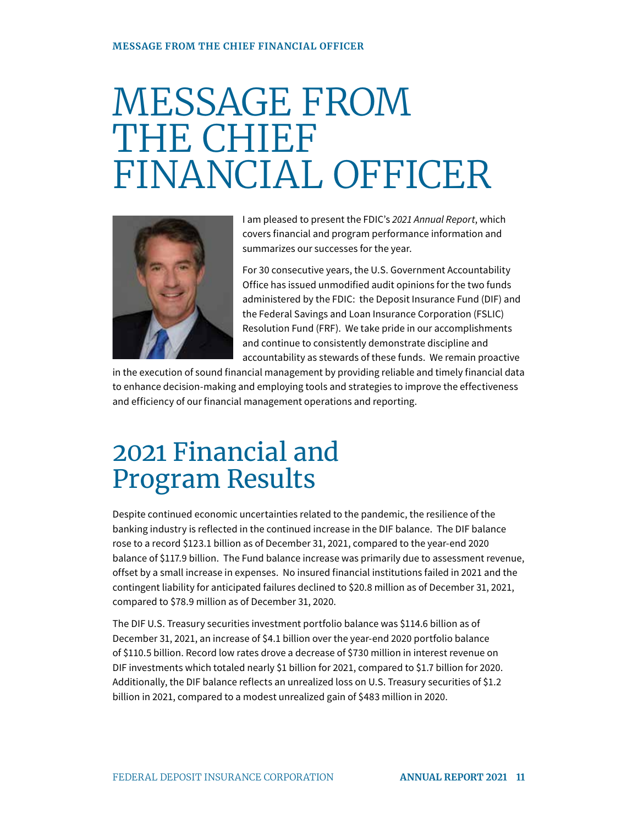## MESSAGE FROM THE CHIEF FINANCIAL OFFICER



I am pleased to present the FDIC's 2021 Annual Report, which covers financial and program performance information and summarizes our successes for the year.

For 30 consecutive years, the U.S. Government Accountability Office has issued unmodified audit opinions for the two funds administered by the FDIC: the Deposit Insurance Fund (DIF) and the Federal Savings and Loan Insurance Corporation (FSLIC) Resolution Fund (FRF). We take pride in our accomplishments and continue to consistently demonstrate discipline and accountability as stewards of these funds. We remain proactive

in the execution of sound financial management by providing reliable and timely financial data to enhance decision-making and employing tools and strategies to improve the effectiveness and efficiency of our financial management operations and reporting.

## 2021 Financial and Program Results

Despite continued economic uncertainties related to the pandemic, the resilience of the banking industry is reflected in the continued increase in the DIF balance. The DIF balance rose to a record \$123.1 billion as of December 31, 2021, compared to the year-end 2020 balance of \$117.9 billion. The Fund balance increase was primarily due to assessment revenue, offset by a small increase in expenses. No insured financial institutions failed in 2021 and the contingent liability for anticipated failures declined to \$20.8 million as of December 31, 2021, compared to \$78.9 million as of December 31, 2020.

The DIF U.S. Treasury securities investment portfolio balance was \$114.6 billion as of December 31, 2021, an increase of \$4.1 billion over the year-end 2020 portfolio balance of \$110.5 billion. Record low rates drove a decrease of \$730 million in interest revenue on DIF investments which totaled nearly \$1 billion for 2021, compared to \$1.7 billion for 2020. Additionally, the DIF balance reflects an unrealized loss on U.S. Treasury securities of \$1.2 billion in 2021, compared to a modest unrealized gain of \$483 million in 2020.